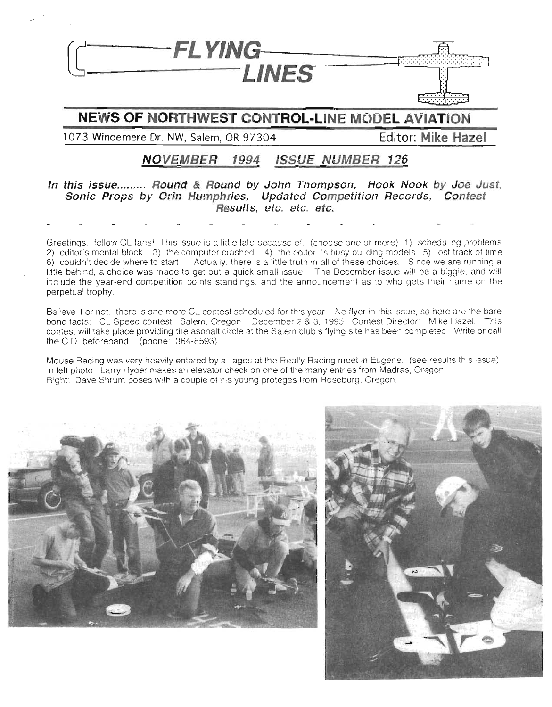

## **NEWS OF NO HW ST CONTROL-LINE MODEL AVIATION**

**1073 Windemere Dr. NW, Salem, OR 97304 Editor: Mike Hazel**

## **NOVEMBER 1994 ISSUE NUMBER 126**

#### **In this issue.. Round & Round by John Thompson, Hook Nook by Joe Just, Sonic Props by Orin Humphries, Updated Competition Records, Contest Results, etc. etc. etc.**

Greetings, fellow CL fans! This issue is a little late because of: (choose one or more) 1) scheduling problems 2) editor's mental block 3) the computer crashed 4) the editor is busy building models 5) lost track of time 6) couldn't decide where to start Actually, there is a little truth in all of these choices. Since we are running a little behind, a choice was made to get out a quick small issue. The December issue will be a biggie, and will include the year-end competition points standings. **and** the announcement as to who gets their name on the perpetual trophy.

Believe it or not, there is one more CL contest scheduled for this year. No flyer in this issue, so here are the bare bone facts: CL Speed contest, Salem, Oregon December 2 & 3, 1995. Contest Director: Mike Hazel. This contest will take place providing the asphalt circle at the Salem club's flying site has been completed. Write or call the C.D. beforehand. (phone: 364-8593)

Mouse Racing was very heavily entered by all ages at the Really Racing meet in Eugene. (see results this issue). In lett photo, Larry Hyder makes an elevator check on one of the many entries from Madras, Oregon Right: Dave Shrum poses with a couple of his young proteges from Roseburg, Oregon.



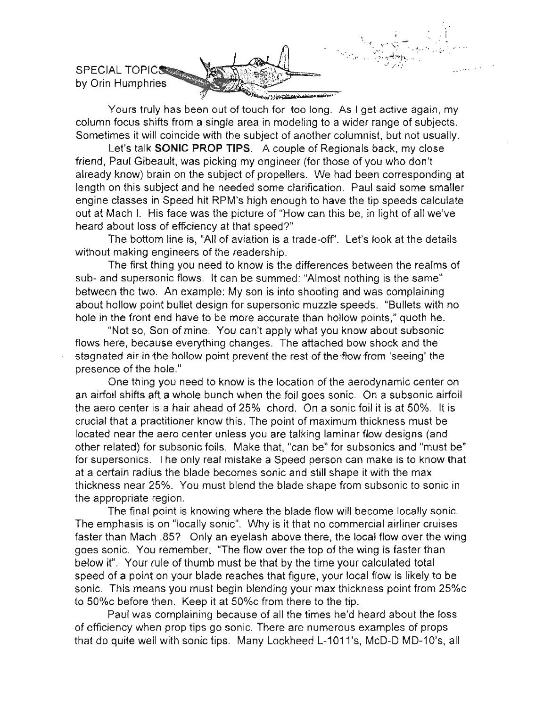

**Yours truly has been out of touch for too long. As I get active again, my column focus shifts from a single area in modeling to a wider range of subjects. Sometimes it will coincide with the subject of another columnist, but not usually.**

Let's talk SONIC PROP TIPS. A couple of Regionals back, my close friend, Paul Gibeault, was picking my engineer (for those of you who don't **already know**) brain on the subject of propellers. We had been corresponding at length on this subject and he needed some clarification. Paul said some smaller engine classes in Speed hit RPM's high enough to have the tip speeds calculate **out at Mach I. His face was the picture of "How can this be, in light of all we've heard about loss of efficiency at that speed?"**

The bottom line is, "All of aviation is a trade-off'. Let's look at the details **without making engineers of the readership.**

The first thing you need to know is the differences between the realms of **sub- and supersonic flows. It can be summed: "Almost nothing is the same"** between the two. An example: My son is into shooting and was complaining **about hollow point bullet design for supersonic muzzle speeds. "Bullets with no hole in the front end have to be more accurate than hollow points," quoth he.**

**"Not so, Son of mine. You can't apply what you know about subsonic flows here, because everything changes. The attached bow shock and the**  $\frac{1}{2}$  **stagnated air-in the-hollow point prevent-the rest of the flow from 'seeing' the presence of the hole."**

**One thing you need to know is the location of the aerodynamic center on an airfoil shifts aft a whole bunch when the foil goes sonic. On a subsonic airfoil** the aero center is a hair ahead of 25% chord. On a sonic foil it is at 50%. It is **crucial that a practitioner know this. The point of maximum thickness must be located near the aero center unless you are talking laminar flow designs (and** other related) for subsonic foils. Make that, "can be" for subsonics and "must be" **for supersonics. The only real mistake a Speed person can make is to know that at a certain radius the blade becomes sonic and still shape it with the max thickness near 25%. You must blend the blade shape from subsonic to sonic in** the appropriate region.

**The final point is knowing where the blade flow will become locally sonic. The emphasis is on "locally sonic". Why is it that no commercial airliner cruises** faster than Mach .857 Only an eyelash above there, the local flow over the wing **goes sonic. You remember, "The flow over the top of the wing is faster than** below it". Your rule of thumb must be that by the time your calculated total speed of a point on your blade reaches that figure, your local flow is likely to be **sonic. This means you must begin blending your max thickness point from 25%c to 50%c before then. Keep it at 50%c from there to the tip.**

**Paul was complaining because of all the times he'd heard about the loss of efficiency when prop tips go sonic. There are numerous examples of props** that do quite well with sonic tips. Many Lockheed L-1011's, McD-D MD-10's, all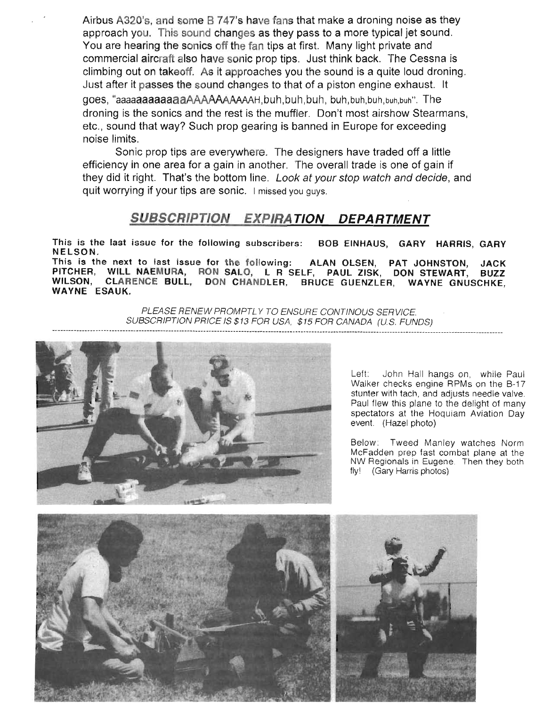Airbus A320's, and some B 747's have fans that make a droning noise as they approach you. This sound changes as they pass to a more typical jet sound. You are hearing the sonics off the fan tips at first. Many light private and commercial aircraft also have sonic prop tips. Just think back. The Cessna is climbing out on takeoff. As it approaches you the sound is a quite loud droning. Just after it passes the sound changes to that of a piston engine exhaust. It goes, "aaaaaaaaaaaaaAAAAAAAAAAAH,buh,buh,buh, buh,buh,buh,buh,buh". The droning is the sonics and the rest is the muffler. Don't most airshow Stearmans, etc., sound that way? Such prop gearing is banned in Europe for exceeding noise limits.

Sonic prop tips are everywhere. The designers have traded off a little efficiency in one area for a gain in another. The overall trade is one of gain if they did it right. That's the bottom line. Look at your stop watch and decide, and quit worrying if your tips are sonic. I missed you guys.

### **SUBSCRIPTION EXPIRA TION DEPARTMENT**

This is the last issue for the following subscribers: BOB EINHAUS, GARY HARRIS, GARY NELSON.

This is the next to last issue for the following: ALAN OLSEN, PAT JOHNSTON, JACK<br>PITCHER, WILL NAEMURA, RON SALO, L R SELF, PAUL ZISK, DON STEWART, BUZZ PITCHER, WILL NAEMURA, RON SALO, L R<sup>-</sup>SELF, PAUL ZISK, DON STEWART, BUZZ<br>WILSON, CLARENCE BULL, DON CHANDLER, BRUCE GUENZLER, WAYNE GNUSCHKE CLARENCE BULL, DON CHANDLER, BRUCE GUENZLER, WAYNE GNUSCHKE, WAYNE ESAUK.

> PLEASE RENEW PROMPTLY TO ENSURE CONTINOUS SERVICE. SUBSCRIPTION PRICE IS \$13 FOR USA, \$15 FOR CANADA (U.S. FUNDS)



Left: John Hall hangs on, while Paul Walker checks engine RPMs on the B-17 stunter with tach. and adjusts needle valve. Paul flew this plane to the delight of many spectators at the Hoquiam Aviation Day event. (Hazel photo)

Below: Tweed Manley watches Norm McFadden prep fast combat plane at the NW Regionals in Eugene. Then they both fly! (Gary Harris photos)

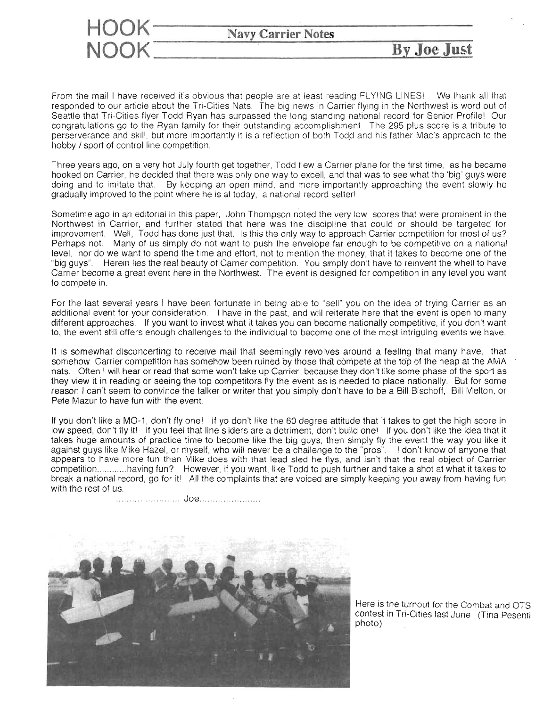

From the mail I have received it's obvious that people are at least reading FLYING LINES! We thank all that responded to our article about the Tri-Cities Nats. The big news in Carrier flying in the Northwest is word out of Seattle that Tri-Cities flyer Todd Ryan has surpassed the long standing national record for Senior Profile! Our congratulations go to the Ryan family for their outstanding accomplishment. The 295 plus score is a tribute to perserverance and skill, but more importantly it is a reflection of both Todd and his father Mac's approach to the hobby / sport of control line competition.

Three years ago, on a very hot July fourth get together, Todd flew a Carrier plane for the first time, as he became hooked on Carrier, he decided that there was only one way to excell, and that was to see what the 'big' guys were doing and to imitate that. By keeping an open mind, and more importantly approaching the event slowly he gradually improved to the point where he is at today, a national record setter!

Sometime ago in an editorial in this paper, John Thompson noted the very low scores that were prominent in the Northwest in Carrier, and further stated that here was the discipline that could or should be targeted for improvement. Well, Todd has done just that. Is this the only way to approach Carrier competition for most of us? Perhaps not. Many of us simply do not want to push the envelope far enough to be competitive on a national level. nor do we want to spend the time and effort, not to mention the money, that it takes to become one of the "big guys". Herein lies the real beauty of Carrier competition. You simply don't have to reinvent the whell to have Carrier become a great *event* here in the Northwest. The event is designed for competition in any level you want to compete in.

. For the last several years I have been fortunate in being able to "sell" you on the idea of trying Carrier as an additional event for your consideration. I have in the past, and will reiterate here that the event is open to many different approaches. If you want to invest what it takes you can become nationally competitive, if you don't want to, the event still offers enough challenges to the individual to become one of the most intriguing events we have.

It is somewhat disconcerting to receive mail that seemingly revolves around a feeling that many have, that somehow Carrier competition has somehow been ruined by those that compete at the top of the heap at the AMA nats. Often I will hear or read that some won't take up Carrier because they don't like some phase of the sport as they view it in reading or seeing the top competitors fly the event as is needed to place nationally. But for some reason I can't seem to convince the talker or writer that you simply don't have to be a Bill Bischoff, Bill Melton, or Pete Mazur to have fun with the event.

If you don't like a MO-1, don't fly one! If yo don't like the 60 degree attitude that it takes to get the high score in low speed, don't fly it! If you feel that line sliders are a detriment, don't build one! If you don't like the idea that it takes huge amounts of practice time to become like the big guys, then simply fly the event the way you like it against guys like Mike Hazel, or myself, who will never be a challenge to the "pros". I don't know of anyone that appears to have more fun than Mike does with that lead sled he flys, and isn't that the real object of Carrier competition............having fun? However, if you want, like Todd to push further and take a shot at what it takes to break a national record, go for it! All the complaints that are voiced are simply keeping you away from having fun with the rest of us.

... Joe .



Here is the turnout for the Combat and OTS contest in Tri-Cities last June (Tina Pesenti photo)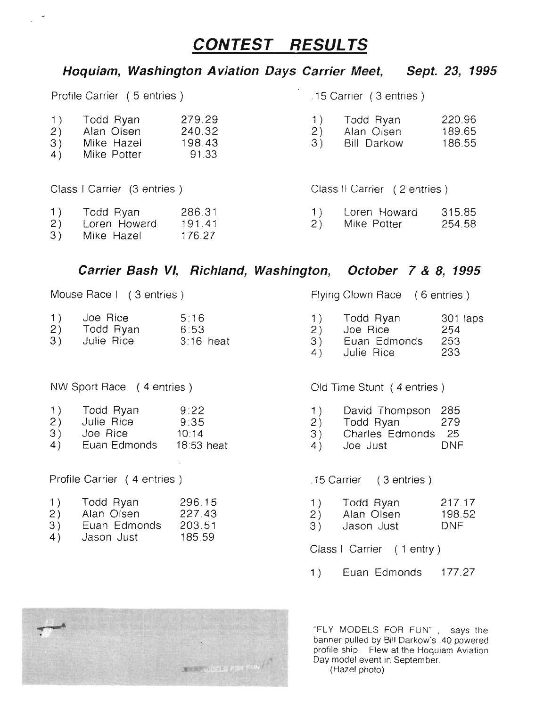# **CONTEST RESUL TS**

### **Hoquiam, Washington Aviation Days Carrier Meet, Sept. 23, 1995**

| Profile Carrier (5 entries)                        |                                                      |                                     | .15 Carrier (3 entries) |                                               |                            |
|----------------------------------------------------|------------------------------------------------------|-------------------------------------|-------------------------|-----------------------------------------------|----------------------------|
| 1)<br>$\begin{pmatrix} 2 \\ 3 \end{pmatrix}$<br>4) | Todd Ryan<br>Alan Olsen<br>Mike Hazel<br>Mike Potter | 279.29<br>240.32<br>198.43<br>91.33 | 1)<br>2)<br>3)          | Todd Ryan<br>Alan Olsen<br><b>Bill Darkow</b> | 220.96<br>189.65<br>186.55 |
| Class   Carrier (3 entries)                        |                                                      | Class II Carrier (2 entries)        |                         |                                               |                            |
| 1)<br>2)<br>3)                                     | Todd Ryan<br>Loren Howard<br>Mike Hazel              | 286.31<br>191.41<br>176.27          | 1)<br>2)                | Loren Howard<br>Mike Potter                   | 315.85<br>254.58           |

#### **Carrier Bash VI, Richland, Washington, October 7 & 8, 1995**

| 1) | Joe Rice   | 5:16        |
|----|------------|-------------|
| 2) | Todd Ryan  | 6:53        |
| 3) | Julie Rice | $3:16$ heat |

NW Sport Race (4 entries) Old Time Stunt (4 entries)

| 9:22<br>1)<br>Todd Ryan |
|-------------------------|
|-------------------------|

- 2) Julie Rice 9:35 10:14
- 3) Joe Rice
- 4) Euan Edmonds 18:53 heat

Profile Carrier (4 entries) .15 Carrier ( 3 entries)

| 1) | Todd Ryan    | 296.15 |
|----|--------------|--------|
| 2) | Alan Olsen   | 227.43 |
| 3) | Euan Edmonds | 203.51 |

4) Jason Just 185.59

Mouse Race I (3 entries) Mouse Race (6 entries)

- 1 ) 2) 3) Todd Ryan Joe Rice Euan Edmonds 301 laps 254 253
- 4) Julie Rice 233

- 1 ) David Thompson 285
- 2) Todd Ryan 279
- 3) Charles Edmonds 25
- 4) Joe Just DNF

- 1 ) Todd Ryan 217.17
- 2) Alan Olsen 198.52
- 3) Jason Just DNF

Class I Carrier (1 entry)

1) Euan Edmonds 177.27



"FLY MODELS FOR FUN". says the banner pulled by Bill Darkow's .40 powered profile ship. Flew at the Hoquiam Aviation Day model event in September. (Hazel photo)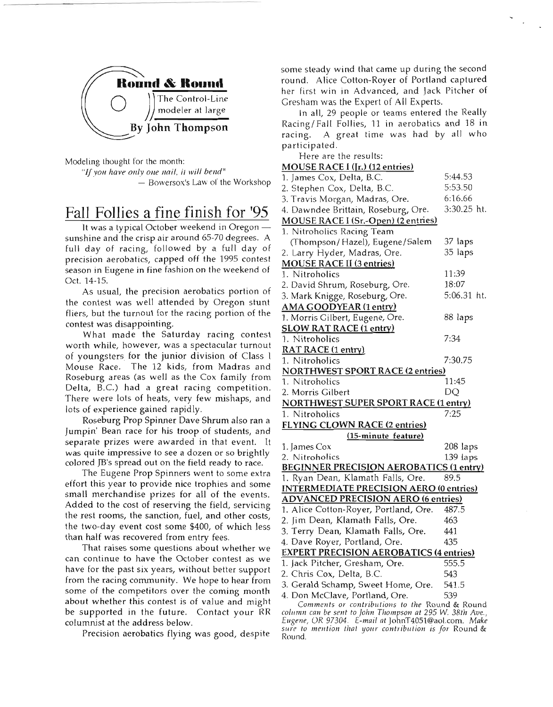

Modeling thought for the month:

*"/fyoll have ollly one nail, ilwill bend"*

 $-$  Bowersox's Law of the Workshop

# Fall Follies a fine finish for '95

It was a typical October weekend in Oregon sunshine and the crisp air around 65-70 degrees. A full day of racing, followed by a full day of precision aerobatics, capped off the 1995 contest season in Eugene in fine fashion on the weekend of Oct. 14-15.

As usual, the precision aerobatics portion of the contest was well attended by Oregon stunt fliers, but the turnout for the racing portion of the contest was disappointing.

What made the Saturday racing contest worth while, however, was a spectacular turnout of youngsters for the junior division of Class I Mouse Race. The 12 kids, from Madras and Roseburg areas (as well as the Cox family from Delta, B.C.) had a great racing competition. There were lots of heats, very few mishaps, and lots of experience gained rapidly.

Roseburg Prop Spinner Dave Shrum also ran a Jumpin' Bean race for his troop of students, and separate prizes were awarded in that event. It was quite impressive to see a dozen or so brightly colored JB's spread out on the field ready to race.

The Eugene Prop Spinners went to some extra effort this year to provide nice trophies and some small merchandise prizes for all of the events. Added to the cost of reserving the field, servicing the rest rooms, the sanction, fuel, and other costs, the two-day event cost some \$400, of which less than half was recovered from entry fees.

That raises some questions about whether we can continue to have the October contest as we have for the past six years, without better support from the racing community. We hope to hear from some of the competitors over the coming month about whether this contest is of value and might be supported in the future. Contact your RR columnist at the address below.

Precision aerobatics flying was good, despite

some steady wind that came up during the second round. Alice Cotton-Royer of Portland captured her first win in Advanced, and Jack Pitcher of Gresham was the Expert of All Experts.

In all, 29 people or teams entered the Really Racing/Fall Follies, 11 in aerobatics and 18 in racing. A great time was had by all who participated.

Here are the results:

#### MOUSE RACE I (Ir.) (12 entries)

| 1. James Cox, Delta, B.C.                      | 5:44.53     |  |  |
|------------------------------------------------|-------------|--|--|
| 2. Stephen Cox, Delta, B.C.                    | 5:53.50     |  |  |
| 3. Travis Morgan, Madras, Ore.                 | 6:16.66     |  |  |
| 4. Dawndee Brittain, Roseburg, Ore.            | 3:30.25 ht. |  |  |
| MOUSE RACE I (Sr.-Open) (2 entries)            |             |  |  |
| 1. Nitroholics Racing Team                     |             |  |  |
| (Thompson/Hazel), Eugene/Salem                 | 37 laps     |  |  |
| 2. Larry Hyder, Madras, Ore.                   | 35 laps     |  |  |
| <b>MOUSE RACE II (3 entries)</b>               |             |  |  |
| 1. Nitroholics                                 | 11:39       |  |  |
| 2. David Shrum, Roseburg, Ore.                 | 18:07       |  |  |
| 3. Mark Knigge, Roseburg, Ore.                 | 5:06.31 ht. |  |  |
| AMA GOODYEAR (1 entry)                         |             |  |  |
| 1. Morris Gilbert, Eugene, Ore.                | 88 laps     |  |  |
| <b>SLOW RAT RACE (1 entry)</b>                 |             |  |  |
| 1. Nitroholics                                 | 7:34        |  |  |
| RAT RACE (1 entry)                             |             |  |  |
| 1. Nitroholics                                 | 7:30.75     |  |  |
| <b>NORTHWEST SPORT RACE (2 entries)</b>        |             |  |  |
| 1. Nitroholics                                 | 11:45       |  |  |
| 2. Morris Gilbert                              | DQ          |  |  |
| <b>NORTHWEST SUPER SPORT RACE (1 entry)</b>    |             |  |  |
| 1. Nitroholics                                 | 7:25        |  |  |
| FLYING CLOWN RACE (2 entries)                  |             |  |  |
| (15-minute feature)                            |             |  |  |
| 1. James Cox                                   | 208 laps    |  |  |
| 2. Nitroholics                                 | 139 laps    |  |  |
| <b>BEGINNER PRECISION AEROBATICS (1 entry)</b> |             |  |  |
| 1. Ryan Dean, Klamath Falls, Ore.              | 89.5        |  |  |
| <b>INTERMEDIATE PRECISION AERO (0 entries)</b> |             |  |  |
| <b>ADVANCED PRECISION AERO (6 entries)</b>     |             |  |  |
| 1. Alice Cotton-Royer, Portland, Ore.          | 487.5       |  |  |
| 2. Jim Dean, Klamath Falls, Ore.               | 463         |  |  |
| 3. Terry Dean, Klamath Falls, Ore.             | 441         |  |  |
| 4. Dave Royer, Portland, Ore.                  | 435         |  |  |
| <b>EXPERT PRECISION AEROBATICS (4 entries)</b> |             |  |  |
| 1. Jack Pitcher, Gresham, Ore.                 | 555.5       |  |  |
| 2. Chris Cox, Delta, B.C.                      | 543         |  |  |
| 3. Gerald Schamp, Sweet Home, Ore.             | 541.5       |  |  |
| 4. Don McClave, Portland, Ore.                 | 539         |  |  |
| Comments or contributions to the Round & Round |             |  |  |

column can be sent to John Thompson at 295 W. 38th Ave., Eugene, OR 97304. E-mail at JohnT4051@aol.com. Make sure to mention that your contribution is for Round & Round.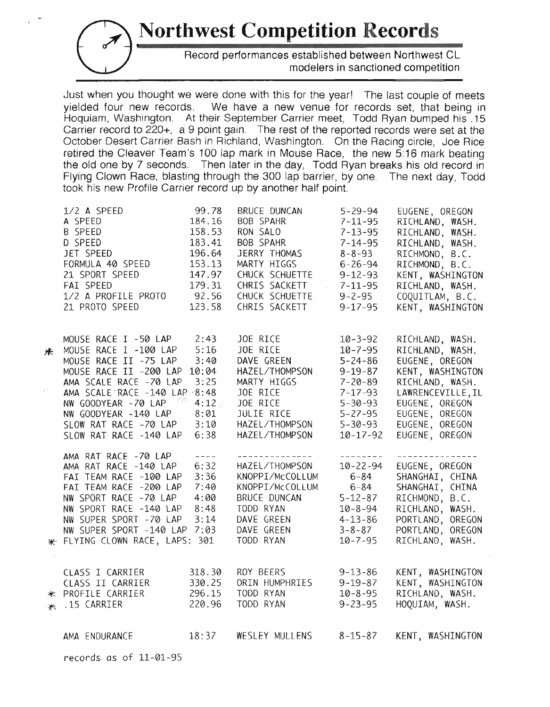**Northwest Competition Records** 

Record performances established between Northwest CL modelers in sanctioned competition

Just when you thought we were done with this for the year! The last couple of meets yielded four new records. We have a new venue for records set, that being in Hoquiam, Washington. At their September Carrier meet, Todd Ryan bumped his .15 Carrier record to 220+, a 9 point gain. The rest of the reported records were set at the October Desert Carrier Bash in Richland, Washington. On the Racing circle, Joe Rice retired the Cleaver Team's 100 lap mark in Mouse Race, the new 5:16 mark beating the old one by 7 seconds. Then later in the day, Todd Ryan breaks his old record in Flying Clown Race, blasting through the 300 lap barrier, by one. The next day, Todd took his new Profile Carrier record up by another half point.

|   | 1/2 A SPEED<br>A SPEED<br>B SPEED<br>D SPEED<br>JET SPEED<br>FORMULA 40 SPEED<br>21 SPORT SPEED<br>FAI SPEED<br>1/2 A PROFILE PROTO<br>21 PROTO SPEED | 99.78<br>184.16<br>158.53<br>183.41<br>196.64<br>153.13<br>147.97<br>179.31<br>92.56<br>123.58 | BRUCE DUNCAN<br>BOB SPAHR<br>RON SALO<br>BOB SPAHR<br>JERRY THOMAS<br>MARTY HIGGS<br>CHUCK SCHUETTE<br>CHRIS SACKETT<br>CHUCK SCHUETTE<br>CHRIS SACKETT | $5 - 29 - 94$<br>$7 - 11 - 95$<br>$7 - 13 - 95$<br>$7 - 14 - 95$<br>$8 - 8 - 93$<br>$6 - 26 - 94$<br>$9 - 12 - 93$<br>$7 - 11 - 95$<br>$9 - 2 - 95$<br>$9 - 17 - 95$ | EUGENE, OREGON<br>RICHLAND, WASH.<br>RICHLAND, WASH.<br>RICHLAND, WASH.<br>RICHMOND, B.C.<br>RICHMOND, B.C.<br>KENT, WASHINGTON<br>RICHLAND, WASH.<br>COQUITLAM, B.C.<br>KENT, WASHINGTON |
|---|-------------------------------------------------------------------------------------------------------------------------------------------------------|------------------------------------------------------------------------------------------------|---------------------------------------------------------------------------------------------------------------------------------------------------------|----------------------------------------------------------------------------------------------------------------------------------------------------------------------|-------------------------------------------------------------------------------------------------------------------------------------------------------------------------------------------|
| 术 | MOUSE RACE I -50 LAP<br>MOUSE RACE I -100 LAP                                                                                                         | 2:43<br>5:16                                                                                   | JOE RICE<br>JOE RICE                                                                                                                                    | $10 - 3 - 92$<br>$10 - 7 - 95$                                                                                                                                       | RICHLAND, WASH.<br>RICHLAND, WASH.                                                                                                                                                        |
|   | MOUSE RACE II -75 LAP<br>MOUSE RACE II -200 LAP                                                                                                       | 3:40<br>10:04                                                                                  | DAVE GREEN<br>HAZEL/THOMPSON                                                                                                                            | $5 - 24 - 86$<br>$9 - 19 - 87$                                                                                                                                       | EUGENE, OREGON<br>KENT, WASHINGTON                                                                                                                                                        |
|   | AMA SCALE RACE -70 LAP                                                                                                                                | 3:25                                                                                           | MARTY HIGGS                                                                                                                                             | $7 - 20 - 89$                                                                                                                                                        | RICHLAND, WASH.                                                                                                                                                                           |
|   | AMA SCALE RACE -140 LAP 8:48                                                                                                                          |                                                                                                | JOE RICE                                                                                                                                                | $7 - 17 - 93$                                                                                                                                                        | LAWRENCEVILLE, IL                                                                                                                                                                         |
|   | NW GOODYEAR -70 LAP                                                                                                                                   | 4:12                                                                                           | JOE RICE                                                                                                                                                | $5 - 30 - 93$                                                                                                                                                        | EUGENE, OREGON                                                                                                                                                                            |
|   | NW GOODYEAR -140 LAP                                                                                                                                  | 8:01                                                                                           | JULIE RICE                                                                                                                                              | $5 - 27 - 95$                                                                                                                                                        | EUGENE, OREGON                                                                                                                                                                            |
|   | SLOW RAT RACE -70 LAP                                                                                                                                 | 3:10                                                                                           | HAZEL/THOMPSON                                                                                                                                          | $5 - 30 - 93$                                                                                                                                                        | EUGENE, OREGON                                                                                                                                                                            |
|   | SLOW RAT RACE -140 LAP                                                                                                                                | 6:38                                                                                           | HAZEL/THOMPSON                                                                                                                                          | $10 - 17 - 92$                                                                                                                                                       | EUGENE, OREGON                                                                                                                                                                            |
|   | AMA RAT RACE -70 LAP                                                                                                                                  | $\frac{1}{2}$                                                                                  | -----------------                                                                                                                                       | المراجع ومراكب المراكب المراكب                                                                                                                                       | . <u>.</u> .                                                                                                                                                                              |
|   | AMA RAT RACE -140 LAP                                                                                                                                 | 6:32                                                                                           | HAZEL/THOMPSON                                                                                                                                          | $10 - 22 - 94$                                                                                                                                                       | EUGENE, OREGON                                                                                                                                                                            |
|   | FAI TEAM RACE -100 LAP                                                                                                                                | 3:36                                                                                           | KNOPPI/McCOLLUM                                                                                                                                         | $6 - 84$                                                                                                                                                             | SHANGHAI, CHINA                                                                                                                                                                           |
|   | FAI TEAM RACE -200 LAP                                                                                                                                | 7:40                                                                                           | KNOPPI/McCOLLUM                                                                                                                                         | $6 - 84$                                                                                                                                                             | SHANGHAI, CHINA                                                                                                                                                                           |
|   | NW SPORT RACE -70 LAP                                                                                                                                 | 4:00                                                                                           | BRUCE DUNCAN                                                                                                                                            | $5 - 12 - 87$                                                                                                                                                        | RICHMOND, B.C.                                                                                                                                                                            |
|   | NW SPORT RACE -140 LAP                                                                                                                                | 8:48                                                                                           | TODD RYAN                                                                                                                                               | $10 - 8 - 94$                                                                                                                                                        | RICHLAND, WASH.                                                                                                                                                                           |
|   | NW SUPER SPORT -70 LAP<br>NW SUPER SPORT -140 LAP 7:03                                                                                                | 3:14                                                                                           | DAVE GREEN<br>DAVE GREEN                                                                                                                                | $4 - 13 - 86$                                                                                                                                                        | PORTLAND, OREGON                                                                                                                                                                          |
|   | * FLYING CLOWN RACE, LAPS: 301                                                                                                                        |                                                                                                | TODD RYAN                                                                                                                                               | $3 - 8 - 87$<br>$10 - 7 - 95$                                                                                                                                        | PORTLAND, OREGON<br>RICHLAND, WASH.                                                                                                                                                       |
|   |                                                                                                                                                       |                                                                                                |                                                                                                                                                         |                                                                                                                                                                      |                                                                                                                                                                                           |
|   |                                                                                                                                                       |                                                                                                |                                                                                                                                                         |                                                                                                                                                                      |                                                                                                                                                                                           |
|   | CLASS I CARRIER                                                                                                                                       | 318.30                                                                                         | ROY BEERS                                                                                                                                               | $9 - 13 - 86$                                                                                                                                                        | KENT, WASHINGTON                                                                                                                                                                          |
|   | CLASS II CARRIER                                                                                                                                      | 330.25                                                                                         | ORIN HUMPHRIES                                                                                                                                          | $9 - 19 - 87$                                                                                                                                                        | KENT, WASHINGTON                                                                                                                                                                          |
|   | * PROFILE CARRIER                                                                                                                                     | 296.15                                                                                         | TODD RYAN                                                                                                                                               | $10 - 8 - 95$                                                                                                                                                        | RICHLAND, WASH.                                                                                                                                                                           |
|   | * .15 CARRIER                                                                                                                                         | 220.96                                                                                         | TODD RYAN                                                                                                                                               | $9 - 23 - 95$                                                                                                                                                        | HOOUIAM, WASH.                                                                                                                                                                            |

AMA ENDURANCE 18:37 WESLEY MULLENS 8-15-87 KENT, WASHINGTON

records as of 11-01-95